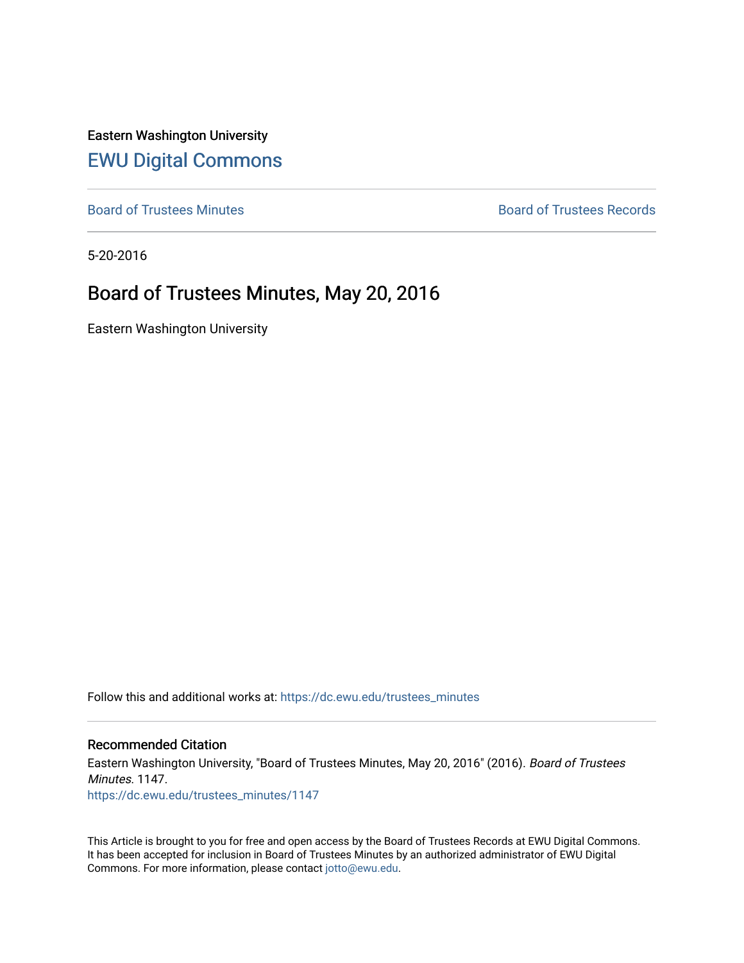Eastern Washington University [EWU Digital Commons](https://dc.ewu.edu/)

[Board of Trustees Minutes](https://dc.ewu.edu/trustees_minutes) **Board of Trustees Records Board of Trustees Records** 

5-20-2016

## Board of Trustees Minutes, May 20, 2016

Eastern Washington University

Follow this and additional works at: [https://dc.ewu.edu/trustees\\_minutes](https://dc.ewu.edu/trustees_minutes?utm_source=dc.ewu.edu%2Ftrustees_minutes%2F1147&utm_medium=PDF&utm_campaign=PDFCoverPages) 

#### Recommended Citation

Eastern Washington University, "Board of Trustees Minutes, May 20, 2016" (2016). Board of Trustees Minutes. 1147. [https://dc.ewu.edu/trustees\\_minutes/1147](https://dc.ewu.edu/trustees_minutes/1147?utm_source=dc.ewu.edu%2Ftrustees_minutes%2F1147&utm_medium=PDF&utm_campaign=PDFCoverPages) 

This Article is brought to you for free and open access by the Board of Trustees Records at EWU Digital Commons. It has been accepted for inclusion in Board of Trustees Minutes by an authorized administrator of EWU Digital Commons. For more information, please contact [jotto@ewu.edu.](mailto:jotto@ewu.edu)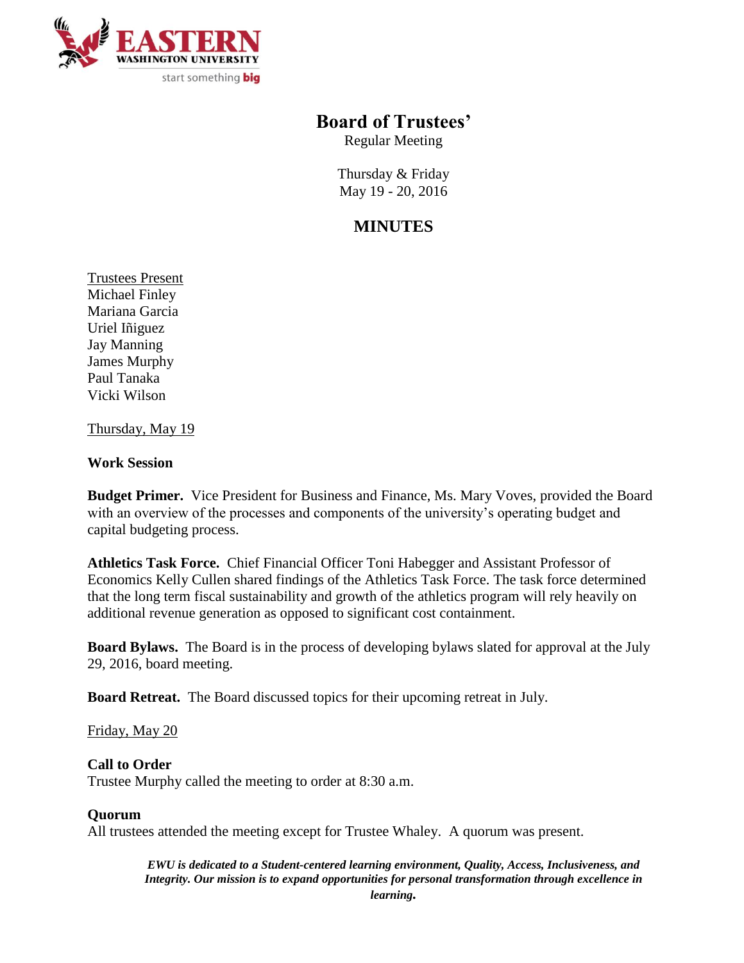

## **Board of Trustees'**

Regular Meeting

Thursday & Friday May 19 - 20, 2016

# **MINUTES**

Trustees Present Michael Finley Mariana Garcia Uriel Iñiguez Jay Manning James Murphy Paul Tanaka Vicki Wilson

Thursday, May 19

## **Work Session**

**Budget Primer.** Vice President for Business and Finance, Ms. Mary Voves, provided the Board with an overview of the processes and components of the university's operating budget and capital budgeting process.

**Athletics Task Force.** Chief Financial Officer Toni Habegger and Assistant Professor of Economics Kelly Cullen shared findings of the Athletics Task Force. The task force determined that the long term fiscal sustainability and growth of the athletics program will rely heavily on additional revenue generation as opposed to significant cost containment.

**Board Bylaws.** The Board is in the process of developing bylaws slated for approval at the July 29, 2016, board meeting.

**Board Retreat.** The Board discussed topics for their upcoming retreat in July.

Friday, May 20

## **Call to Order**

Trustee Murphy called the meeting to order at 8:30 a.m.

### **Quorum**

All trustees attended the meeting except for Trustee Whaley. A quorum was present.

*EWU is dedicated to a Student-centered learning environment, Quality, Access, Inclusiveness, and Integrity. Our mission is to expand opportunities for personal transformation through excellence in learning.*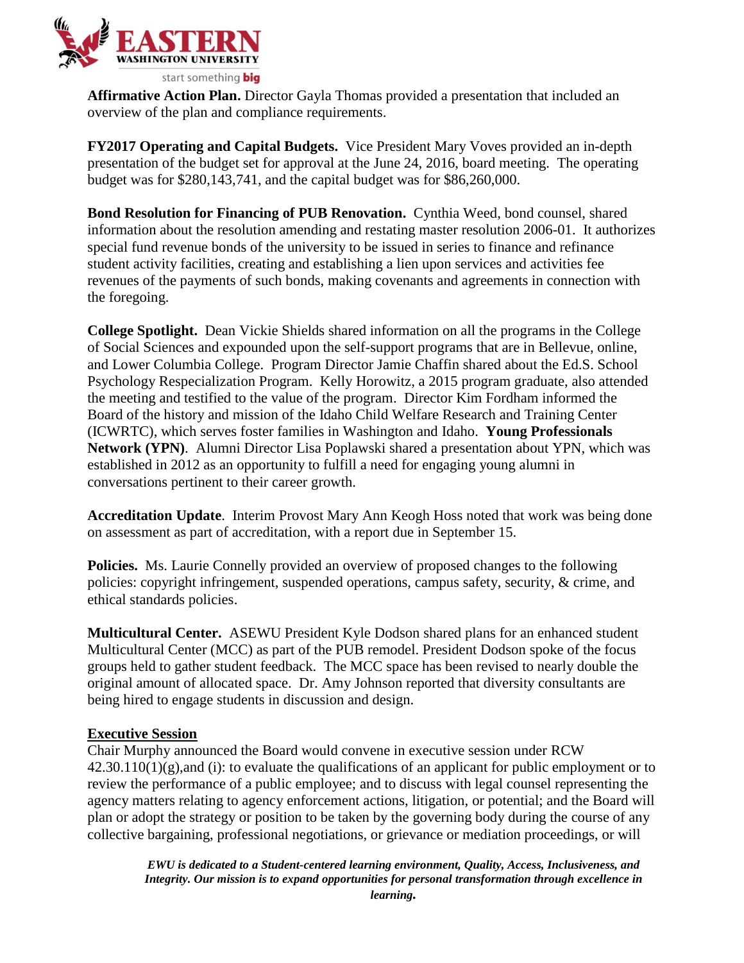

**Affirmative Action Plan.** Director Gayla Thomas provided a presentation that included an overview of the plan and compliance requirements.

**FY2017 Operating and Capital Budgets.** Vice President Mary Voves provided an in-depth presentation of the budget set for approval at the June 24, 2016, board meeting. The operating budget was for \$280,143,741, and the capital budget was for \$86,260,000.

**Bond Resolution for Financing of PUB Renovation.** Cynthia Weed, bond counsel, shared information about the resolution amending and restating master resolution 2006-01. It authorizes special fund revenue bonds of the university to be issued in series to finance and refinance student activity facilities, creating and establishing a lien upon services and activities fee revenues of the payments of such bonds, making covenants and agreements in connection with the foregoing.

**College Spotlight.** Dean Vickie Shields shared information on all the programs in the College of Social Sciences and expounded upon the self-support programs that are in Bellevue, online, and Lower Columbia College. Program Director Jamie Chaffin shared about the Ed.S. School Psychology Respecialization Program. Kelly Horowitz, a 2015 program graduate, also attended the meeting and testified to the value of the program. Director Kim Fordham informed the Board of the history and mission of the Idaho Child Welfare Research and Training Center (ICWRTC), which serves foster families in Washington and Idaho. **Young Professionals Network (YPN)**. Alumni Director Lisa Poplawski shared a presentation about YPN, which was established in 2012 as an opportunity to fulfill a need for engaging young alumni in conversations pertinent to their career growth.

**Accreditation Update**. Interim Provost Mary Ann Keogh Hoss noted that work was being done on assessment as part of accreditation, with a report due in September 15.

**Policies.** Ms. Laurie Connelly provided an overview of proposed changes to the following policies: copyright infringement, suspended operations, campus safety, security, & crime, and ethical standards policies.

**Multicultural Center.** ASEWU President Kyle Dodson shared plans for an enhanced student Multicultural Center (MCC) as part of the PUB remodel. President Dodson spoke of the focus groups held to gather student feedback. The MCC space has been revised to nearly double the original amount of allocated space. Dr. Amy Johnson reported that diversity consultants are being hired to engage students in discussion and design.

## **Executive Session**

Chair Murphy announced the Board would convene in executive session under RCW  $42.30.110(1)(g)$ , and (i): to evaluate the qualifications of an applicant for public employment or to review the performance of a public employee; and to discuss with legal counsel representing the agency matters relating to agency enforcement actions, litigation, or potential; and the Board will plan or adopt the strategy or position to be taken by the governing body during the course of any collective bargaining, professional negotiations, or grievance or mediation proceedings, or will

*EWU is dedicated to a Student-centered learning environment, Quality, Access, Inclusiveness, and Integrity. Our mission is to expand opportunities for personal transformation through excellence in learning.*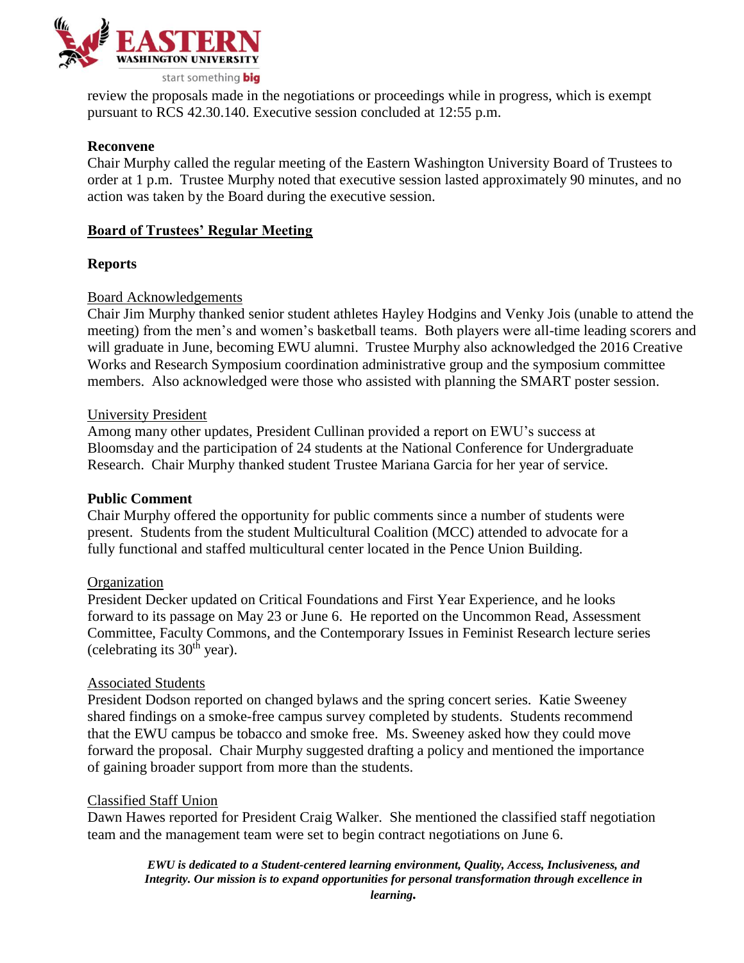

review the proposals made in the negotiations or proceedings while in progress, which is exempt pursuant to RCS 42.30.140. Executive session concluded at 12:55 p.m.

#### **Reconvene**

Chair Murphy called the regular meeting of the Eastern Washington University Board of Trustees to order at 1 p.m. Trustee Murphy noted that executive session lasted approximately 90 minutes, and no action was taken by the Board during the executive session.

### **Board of Trustees' Regular Meeting**

#### **Reports**

#### Board Acknowledgements

Chair Jim Murphy thanked senior student athletes Hayley Hodgins and Venky Jois (unable to attend the meeting) from the men's and women's basketball teams. Both players were all-time leading scorers and will graduate in June, becoming EWU alumni. Trustee Murphy also acknowledged the 2016 Creative Works and Research Symposium coordination administrative group and the symposium committee members. Also acknowledged were those who assisted with planning the SMART poster session.

#### University President

Among many other updates, President Cullinan provided a report on EWU's success at Bloomsday and the participation of 24 students at the National Conference for Undergraduate Research. Chair Murphy thanked student Trustee Mariana Garcia for her year of service.

#### **Public Comment**

Chair Murphy offered the opportunity for public comments since a number of students were present. Students from the student Multicultural Coalition (MCC) attended to advocate for a fully functional and staffed multicultural center located in the Pence Union Building.

#### **Organization**

President Decker updated on Critical Foundations and First Year Experience, and he looks forward to its passage on May 23 or June 6. He reported on the Uncommon Read, Assessment Committee, Faculty Commons, and the Contemporary Issues in Feminist Research lecture series (celebrating its  $30<sup>th</sup>$  year).

#### Associated Students

President Dodson reported on changed bylaws and the spring concert series. Katie Sweeney shared findings on a smoke-free campus survey completed by students. Students recommend that the EWU campus be tobacco and smoke free. Ms. Sweeney asked how they could move forward the proposal. Chair Murphy suggested drafting a policy and mentioned the importance of gaining broader support from more than the students.

#### Classified Staff Union

Dawn Hawes reported for President Craig Walker. She mentioned the classified staff negotiation team and the management team were set to begin contract negotiations on June 6.

> *EWU is dedicated to a Student-centered learning environment, Quality, Access, Inclusiveness, and Integrity. Our mission is to expand opportunities for personal transformation through excellence in learning.*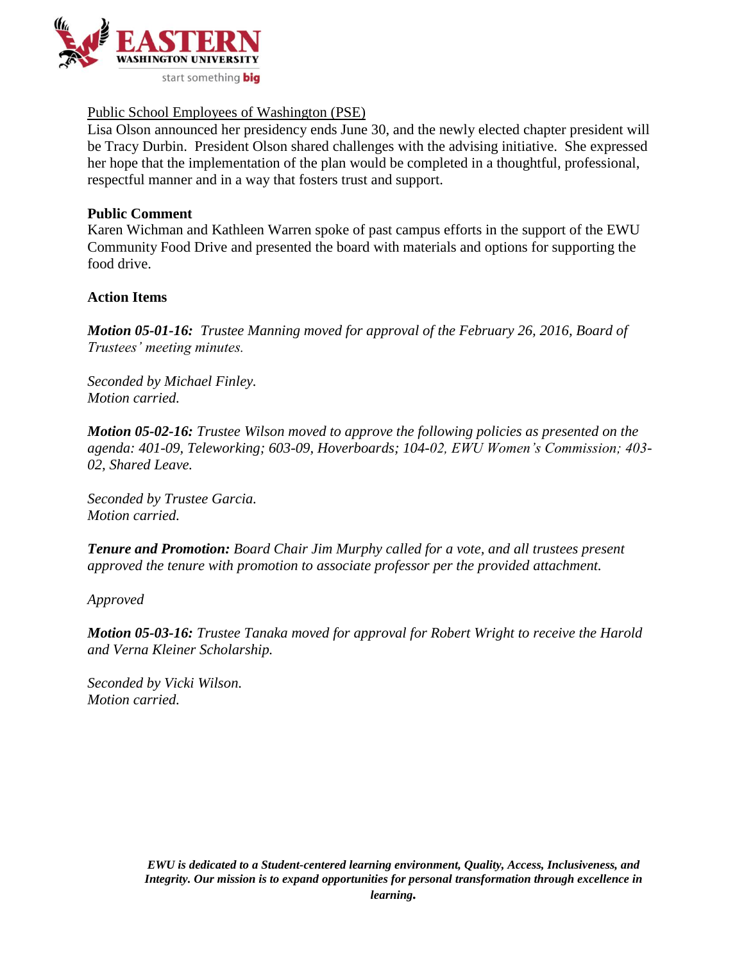

## Public School Employees of Washington (PSE)

Lisa Olson announced her presidency ends June 30, and the newly elected chapter president will be Tracy Durbin. President Olson shared challenges with the advising initiative. She expressed her hope that the implementation of the plan would be completed in a thoughtful, professional, respectful manner and in a way that fosters trust and support.

#### **Public Comment**

Karen Wichman and Kathleen Warren spoke of past campus efforts in the support of the EWU Community Food Drive and presented the board with materials and options for supporting the food drive.

#### **Action Items**

*Motion 05-01-16: Trustee Manning moved for approval of the February 26, 2016, Board of Trustees' meeting minutes.* 

*Seconded by Michael Finley. Motion carried.*

*Motion 05-02-16: Trustee Wilson moved to approve the following policies as presented on the agenda: 401-09, Teleworking; 603-09, Hoverboards; 104-02, EWU Women's Commission; 403- 02, Shared Leave.* 

*Seconded by Trustee Garcia. Motion carried.*

*Tenure and Promotion: Board Chair Jim Murphy called for a vote, and all trustees present approved the tenure with promotion to associate professor per the provided attachment.*

*Approved*

*Motion 05-03-16: Trustee Tanaka moved for approval for Robert Wright to receive the Harold and Verna Kleiner Scholarship.*

*Seconded by Vicki Wilson. Motion carried.*